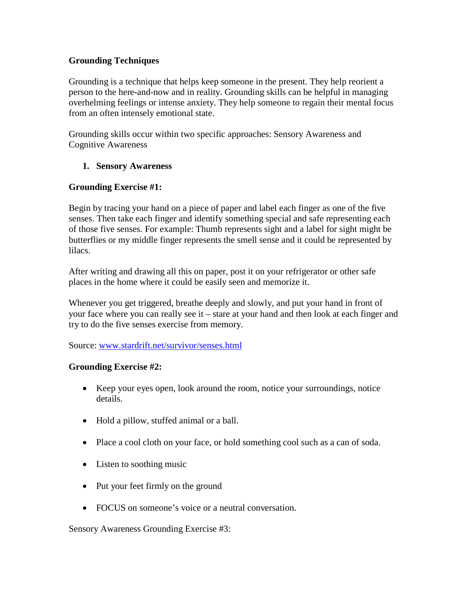## **Grounding Techniques**

Grounding is a technique that helps keep someone in the present. They help reorient a person to the here-and-now and in reality. Grounding skills can be helpful in managing overhelming feelings or intense anxiety. They help someone to regain their mental focus from an often intensely emotional state.

Grounding skills occur within two specific approaches: Sensory Awareness and Cognitive Awareness

# **1. Sensory Awareness**

# **Grounding Exercise #1:**

Begin by tracing your hand on a piece of paper and label each finger as one of the five senses. Then take each finger and identify something special and safe representing each of those five senses. For example: Thumb represents sight and a label for sight might be butterflies or my middle finger represents the smell sense and it could be represented by lilacs.

After writing and drawing all this on paper, post it on your refrigerator or other safe places in the home where it could be easily seen and memorize it.

Whenever you get triggered, breathe deeply and slowly, and put your hand in front of your face where you can really see it – stare at your hand and then look at each finger and try to do the five senses exercise from memory.

Source: [www.stardrift.net/survivor/senses.html](http://www.stardrift.net/survivor/senses.html)

## **Grounding Exercise #2:**

- Keep your eyes open, look around the room, notice your surroundings, notice details.
- Hold a pillow, stuffed animal or a ball.
- Place a cool cloth on your face, or hold something cool such as a can of soda.
- Listen to soothing music
- Put your feet firmly on the ground
- FOCUS on someone's voice or a neutral conversation.

Sensory Awareness Grounding Exercise #3: